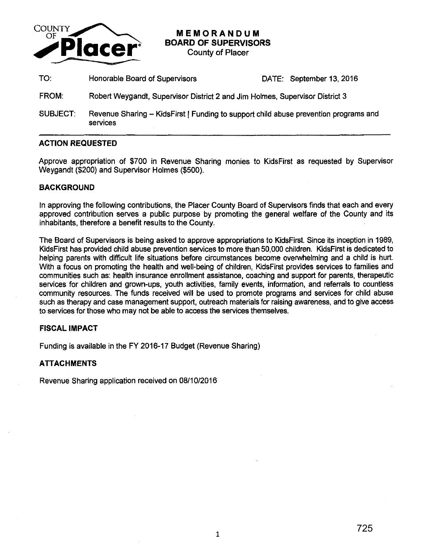

# **MEMORANDUM BOARD OF SUPERVISORS**

County of Placer

- TO: Honorable Board of Supervisors DATE: September 13, 2016
- FROM: Robert Weygandt, Supervisor District 2 and Jim Holmes, Supervisor District 3
- SUBJECT: Revenue Sharing KidsFirst | Funding to support child abuse prevention programs and services

#### **ACTION REQUESTED**

Approve appropriation of \$700 in Revenue Sharing monies to KidsFirst as requested by Supervisor Weygandt (\$200) and Supervisor Holmes (\$500).

## **BACKGROUND**

In approving the following contributions, the Placer County Board of Supervisors finds that each and every approved contribution serves a public purpose by promoting the general welfare of the County and its inhabitants, therefore a benefit results to the County.

The Board of Supervisors is being asked to approve appropriations to KidsFirst. Since its inception in 1989, KidsFirst has provided child abuse prevention services to more than 50,000 children. KidsFirst is dedicated to helping parents with difficult life situations before circumstances become overwhelming and a child is hurt. With a focus on promoting the health and well-being of children, KidsFirst provides services to families and communities such as: health insurance enrollment assistance, coaching and support for parents, therapeutic services for children and grown-ups, youth activities, family events, information, and referrals to countless community resources. The funds received will be used to promote programs and services for child abuse such as therapy and case management support, outreach materials for raising awareness, and to give access to services for those who may not be able to access the services themselves.

### **FISCAL IMPACT**

Funding is available in the FY 2016-17 Budget (Revenue Sharing)

### **ATTACHMENTS**

Revenue Sharing application received on 08/10/2016